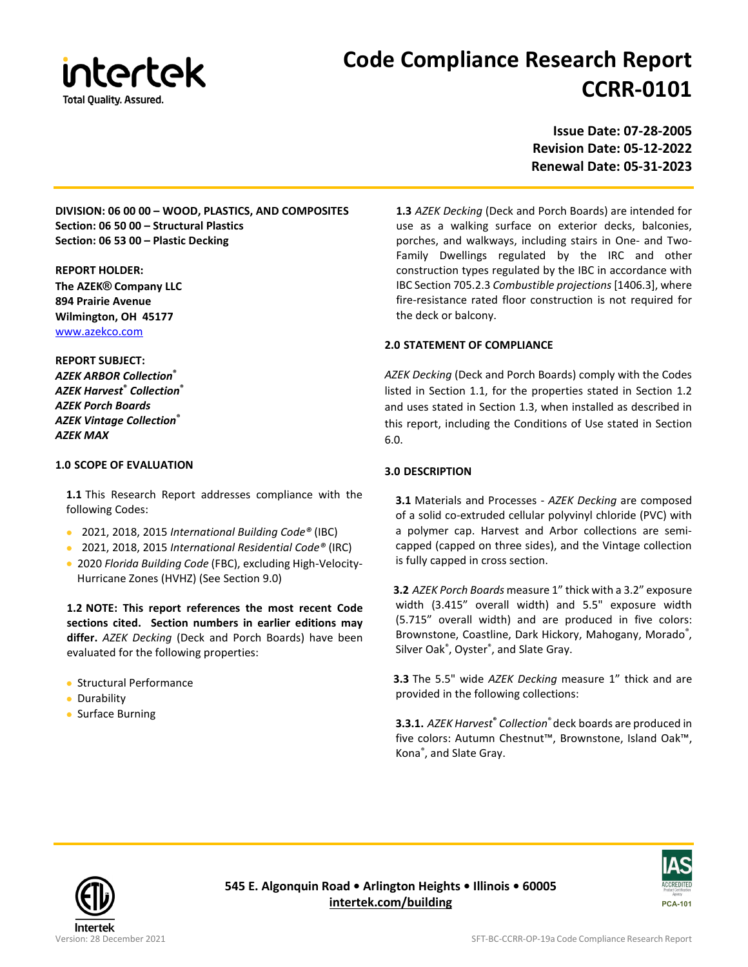

# **Code Compliance Research Report CCRR-0101**

**Issue Date: 07-28-2005 Revision Date: 05-12-2022 Renewal Date: 05-31-2023**

**DIVISION: 06 00 00 – WOOD, PLASTICS, AND COMPOSITES Section: 06 50 00 – Structural Plastics Section: 06 53 00 – Plastic Decking**

**REPORT HOLDER: The AZEK® Company LLC 894 Prairie Avenue Wilmington, OH 45177** [www.azekco.com](http://www.azekco.com/)

# **REPORT SUBJECT:**

*AZEK ARBOR Collection***®** *AZEK Harvest***®** *Collection***®** *AZEK Porch Boards AZEK Vintage Collection***®** *AZEK MAX*

# **1.0 SCOPE OF EVALUATION**

**1.1** This Research Report addresses compliance with the following Codes:

- 2021, 2018, 2015 *International Building Code®* (IBC)
- 2021, 2018, 2015 *International Residential Code®* (IRC)
- 2020 *Florida Building Code* (FBC), excluding High-Velocity-Hurricane Zones (HVHZ) (See Section 9.0)

**1.2 NOTE: This report references the most recent Code sections cited. Section numbers in earlier editions may differ.** *AZEK Decking* (Deck and Porch Boards) have been evaluated for the following properties:

- Structural Performance
- Durability
- Surface Burning

**1.3** *AZEK Decking* (Deck and Porch Boards) are intended for use as a walking surface on exterior decks, balconies, porches, and walkways, including stairs in One- and Two-Family Dwellings regulated by the IRC and other construction types regulated by the IBC in accordance with IBC Section 705.2.3 *Combustible projections* [1406.3], where fire-resistance rated floor construction is not required for the deck or balcony.

## **2.0 STATEMENT OF COMPLIANCE**

*AZEK Decking* (Deck and Porch Boards) comply with the Codes listed in Section 1.1, for the properties stated in Section 1.2 and uses stated in Section 1.3, when installed as described in this report, including the Conditions of Use stated in Section 6.0.

# **3.0 DESCRIPTION**

**3.1** Materials and Processes - *AZEK Decking* are composed of a solid co-extruded cellular polyvinyl chloride (PVC) with a polymer cap. Harvest and Arbor collections are semicapped (capped on three sides), and the Vintage collection is fully capped in cross section.

**3.2** *AZEK Porch Boards* measure 1" thick with a 3.2" exposure width (3.415" overall width) and 5.5" exposure width (5.715" overall width) and are produced in five colors: Brownstone, Coastline, Dark Hickory, Mahogany, Morado®, Silver Oak® , Oyster® , and Slate Gray.

**3.3** The 5.5" wide *AZEK Decking* measure 1" thick and are provided in the following collections:

**3.3.1.** *AZEK Harvest***®** *Collection*® deck boards are produced in five colors: Autumn Chestnut™, Brownstone, Island Oak™, Kona® , and Slate Gray.



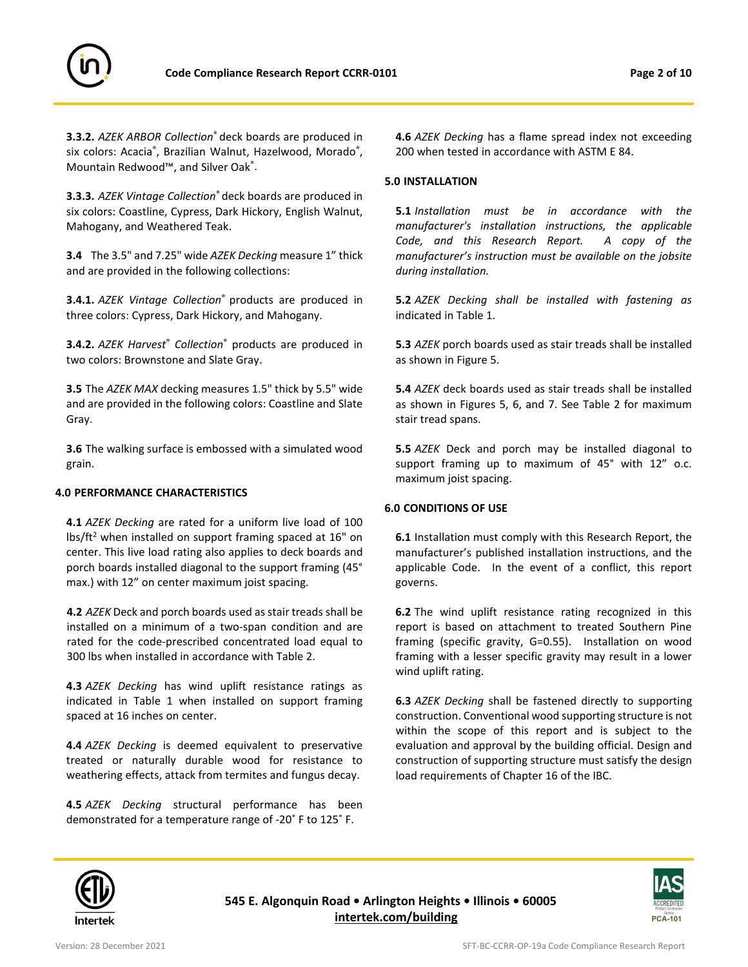

**3.3.2.** *AZEK ARBOR Collection*® deck boards are produced in six colors: Acacia®, Brazilian Walnut, Hazelwood, Morado®, Mountain Redwood™, and Silver Oak® .

**3.3.3.** *AZEK Vintage Collection*® deck boards are produced in six colors: Coastline, Cypress, Dark Hickory, English Walnut, Mahogany, and Weathered Teak.

**3.4** The 3.5" and 7.25" wide *AZEK Decking* measure 1" thick and are provided in the following collections:

**3.4.1.** *AZEK Vintage Collection*® products are produced in three colors: Cypress, Dark Hickory, and Mahogany.

**3.4.2.** *AZEK Harvest*® *Collection*® products are produced in two colors: Brownstone and Slate Gray.

**3.5** The *AZEK MAX* decking measures 1.5" thick by 5.5" wide and are provided in the following colors: Coastline and Slate Gray.

**3.6** The walking surface is embossed with a simulated wood grain.

#### **4.0 PERFORMANCE CHARACTERISTICS**

**4.1** *AZEK Decking* are rated for a uniform live load of 100  $\frac{1}{5}$  lbs/ft<sup>2</sup> when installed on support framing spaced at 16" on center. This live load rating also applies to deck boards and porch boards installed diagonal to the support framing (45° max.) with 12" on center maximum joist spacing.

**4.2** *AZEK* Deck and porch boards used as stair treads shall be installed on a minimum of a two-span condition and are rated for the code-prescribed concentrated load equal to 300 lbs when installed in accordance with Table 2.

**4.3** *AZEK Decking* has wind uplift resistance ratings as indicated in Table 1 when installed on support framing spaced at 16 inches on center.

**4.4** *AZEK Decking* is deemed equivalent to preservative treated or naturally durable wood for resistance to weathering effects, attack from termites and fungus decay.

**4.5** *AZEK Decking* structural performance has been demonstrated for a temperature range of -20˚ F to 125˚ F.

**4.6** *AZEK Decking* has a flame spread index not exceeding 200 when tested in accordance with ASTM E 84.

## **5.0 INSTALLATION**

**5.1** *Installation must be in accordance with the manufacturer's installation instructions, the applicable Code, and this Research Report. A copy of the manufacturer's instruction must be available on the jobsite during installation.*

**5.2** *AZEK Decking shall be installed with fastening as* indicated in Table 1.

**5.3** *AZEK* porch boards used as stair treads shall be installed as shown in Figure 5.

**5.4** *AZEK* deck boards used as stair treads shall be installed as shown in Figures 5, 6, and 7. See Table 2 for maximum stair tread spans.

**5.5** *AZEK* Deck and porch may be installed diagonal to support framing up to maximum of 45° with 12" o.c. maximum joist spacing.

#### **6.0 CONDITIONS OF USE**

**6.1** Installation must comply with this Research Report, the manufacturer's published installation instructions, and the applicable Code. In the event of a conflict, this report governs.

**6.2** The wind uplift resistance rating recognized in this report is based on attachment to treated Southern Pine framing (specific gravity, G=0.55). Installation on wood framing with a lesser specific gravity may result in a lower wind uplift rating.

**6.3** *AZEK Decking* shall be fastened directly to supporting construction. Conventional wood supporting structure is not within the scope of this report and is subject to the evaluation and approval by the building official. Design and construction of supporting structure must satisfy the design load requirements of Chapter 16 of the IBC.



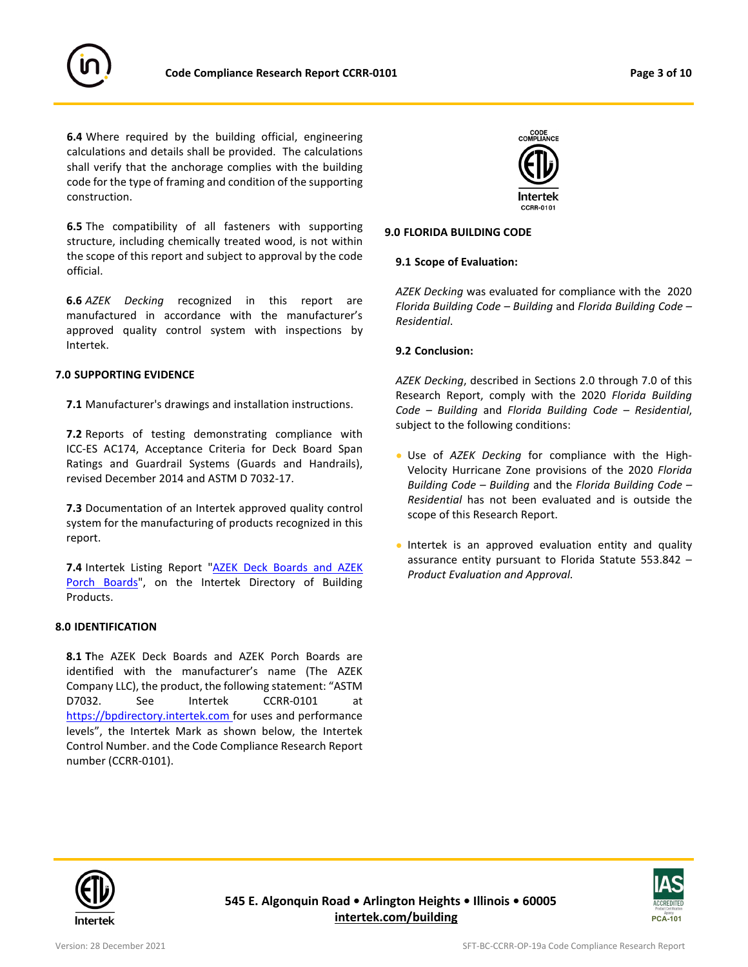

**6.4** Where required by the building official, engineering calculations and details shall be provided. The calculations shall verify that the anchorage complies with the building code for the type of framing and condition of the supporting construction.

**6.5** The compatibility of all fasteners with supporting structure, including chemically treated wood, is not within the scope of this report and subject to approval by the code official.

**6.6** *AZEK Decking* recognized in this report are manufactured in accordance with the manufacturer's approved quality control system with inspections by Intertek.

#### **7.0 SUPPORTING EVIDENCE**

**7.1** Manufacturer's drawings and installation instructions.

**7.2** Reports of testing demonstrating compliance with ICC-ES AC174, Acceptance Criteria for Deck Board Span Ratings and Guardrail Systems (Guards and Handrails), revised December 2014 and ASTM D 7032-17.

**7.3** Documentation of an Intertek approved quality control system for the manufacturing of products recognized in this report.

**7.4** Intertek Listing Report "AZEK Deck Boards and AZEK [Porch Boards"](https://bpdirectory.intertek.com/pages/DLP_SearchDetail.aspx?SpecID=37739), on the Intertek Directory of Building [Products.](https://bpdirectory.intertek.com/Pages/DLP_Search.aspx) 

#### **8.0 IDENTIFICATION**

**8.1 T**he AZEK Deck Boards and AZEK Porch Boards are identified with the manufacturer's name (The AZEK Company LLC), the product, the following statement: "ASTM D7032. See Intertek CCRR-0101 at [https://bpdirectory.intertek.com](https://bpdirectory.intertek.com/pages/DLP_Search.aspx) for uses and performance levels", the Intertek Mark as shown below, the Intertek Control Number. and the Code Compliance Research Report number (CCRR-0101).



#### **9.0 FLORIDA BUILDING CODE**

#### **9.1 Scope of Evaluation:**

*AZEK Decking* was evaluated for compliance with the 2020 *Florida Building Code – Building* and *Florida Building Code – Residential*.

#### **9.2 Conclusion:**

*AZEK Decking*, described in Sections 2.0 through 7.0 of this Research Report, comply with the 2020 *Florida Building Code – Building* and *Florida Building Code – Residential*, subject to the following conditions:

- Use of *AZEK Decking* for compliance with the High-Velocity Hurricane Zone provisions of the 2020 *Florida Building Code – Building* and the *Florida Building Code – Residential* has not been evaluated and is outside the scope of this Research Report.
- Intertek is an approved evaluation entity and quality assurance entity pursuant to Florida Statute 553.842 – *Product Evaluation and Approval.*



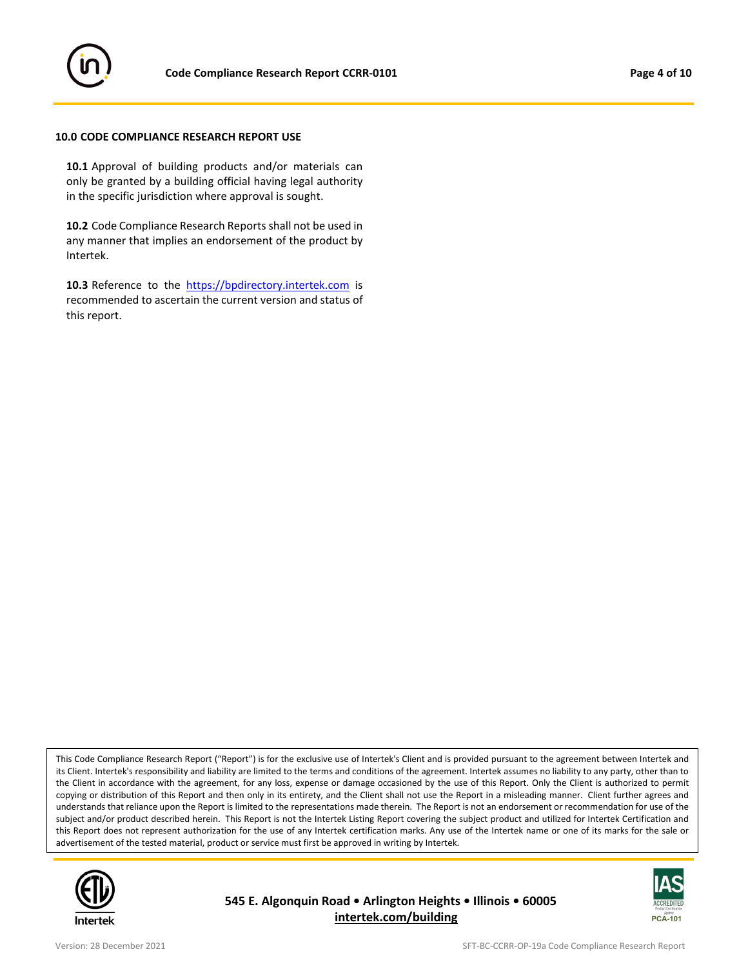

#### **10.0 CODE COMPLIANCE RESEARCH REPORT USE**

**10.1** Approval of building products and/or materials can only be granted by a building official having legal authority in the specific jurisdiction where approval is sought.

**10.2** Code Compliance Research Reports shall not be used in any manner that implies an endorsement of the product by Intertek.

10.3 Reference to the [https://bpdirectory.intertek.com](https://bpdirectory.intertek.com/pages/DLP_Search.aspx) is recommended to ascertain the current version and status of this report.

This Code Compliance Research Report ("Report") is for the exclusive use of Intertek's Client and is provided pursuant to the agreement between Intertek and its Client. Intertek's responsibility and liability are limited to the terms and conditions of the agreement. Intertek assumes no liability to any party, other than to the Client in accordance with the agreement, for any loss, expense or damage occasioned by the use of this Report. Only the Client is authorized to permit copying or distribution of this Report and then only in its entirety, and the Client shall not use the Report in a misleading manner. Client further agrees and understands that reliance upon the Report is limited to the representations made therein. The Report is not an endorsement or recommendation for use of the subject and/or product described herein. This Report is not the Intertek Listing Report covering the subject product and utilized for Intertek Certification and this Report does not represent authorization for the use of any Intertek certification marks. Any use of the Intertek name or one of its marks for the sale or advertisement of the tested material, product or service must first be approved in writing by Intertek.



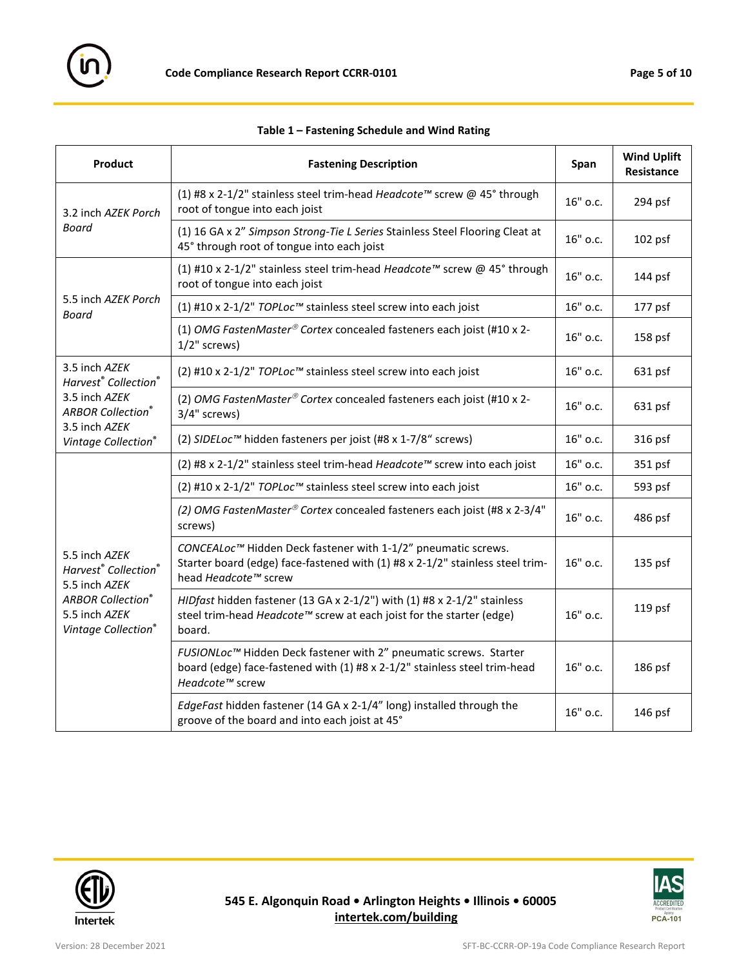

| Table 1 - Fastening Schedule and Wind Rating |  |  |
|----------------------------------------------|--|--|
|----------------------------------------------|--|--|

| Product                                                                                                                                            | <b>Fastening Description</b>                                                                                                                                                       |          | <b>Wind Uplift</b><br>Resistance |
|----------------------------------------------------------------------------------------------------------------------------------------------------|------------------------------------------------------------------------------------------------------------------------------------------------------------------------------------|----------|----------------------------------|
| 3.2 inch AZEK Porch<br>Board                                                                                                                       | (1) #8 x 2-1/2" stainless steel trim-head Headcote™ screw @ 45° through<br>root of tongue into each joist                                                                          |          | 294 psf                          |
|                                                                                                                                                    | (1) 16 GA x 2" Simpson Strong-Tie L Series Stainless Steel Flooring Cleat at<br>45° through root of tongue into each joist                                                         | 16" o.c. | $102$ psf                        |
| 5.5 inch AZEK Porch<br>Board                                                                                                                       | (1) #10 x 2-1/2" stainless steel trim-head Headcote™ screw @ 45° through<br>root of tongue into each joist                                                                         |          | 144 psf                          |
|                                                                                                                                                    | (1) #10 x 2-1/2" TOPLoc™ stainless steel screw into each joist                                                                                                                     | 16" o.c. | 177 psf                          |
|                                                                                                                                                    | (1) OMG FastenMaster® Cortex concealed fasteners each joist (#10 x 2-<br>$1/2$ " screws)                                                                                           |          | 158 psf                          |
| 3.5 inch AZEK<br>Harvest <sup>®</sup> Collection <sup>®</sup><br>3.5 inch AZEK<br><b>ARBOR Collection®</b><br>3.5 inch AZEK<br>Vintage Collection® | (2) #10 x 2-1/2" TOPLoc™ stainless steel screw into each joist                                                                                                                     |          | 631 psf                          |
|                                                                                                                                                    | (2) OMG FastenMaster® Cortex concealed fasteners each joist (#10 x 2-<br>3/4" screws)                                                                                              |          | 631 psf                          |
|                                                                                                                                                    | (2) SIDELoc™ hidden fasteners per joist (#8 x 1-7/8" screws)                                                                                                                       | 16" o.c. | 316 psf                          |
| 5.5 inch AZEK<br>Harvest <sup>®</sup> Collection <sup>®</sup><br>5.5 inch AZEK<br><b>ARBOR Collection®</b><br>5.5 inch AZEK<br>Vintage Collection® | (2) #8 x 2-1/2" stainless steel trim-head Headcote™ screw into each joist                                                                                                          | 16" o.c. | 351 psf                          |
|                                                                                                                                                    | (2) #10 x 2-1/2" TOPLoc™ stainless steel screw into each joist                                                                                                                     | 16" o.c. | 593 psf                          |
|                                                                                                                                                    | (2) OMG FastenMaster® Cortex concealed fasteners each joist (#8 x 2-3/4"<br>screws)                                                                                                |          | 486 psf                          |
|                                                                                                                                                    | CONCEALoc™ Hidden Deck fastener with 1-1/2" pneumatic screws.<br>Starter board (edge) face-fastened with (1) #8 x 2-1/2" stainless steel trim-<br>head Headcote <sup>™</sup> screw |          | 135 psf                          |
|                                                                                                                                                    | HIDfast hidden fastener (13 GA x 2-1/2") with (1) #8 x 2-1/2" stainless<br>steel trim-head Headcote™ screw at each joist for the starter (edge)<br>board.                          |          | 119 psf                          |
|                                                                                                                                                    | FUSIONLoc™ Hidden Deck fastener with 2" pneumatic screws. Starter<br>board (edge) face-fastened with (1) #8 x 2-1/2" stainless steel trim-head<br>Headcote <sup>™</sup> screw      |          | 186 psf                          |
|                                                                                                                                                    | EdgeFast hidden fastener (14 GA x 2-1/4" long) installed through the<br>groove of the board and into each joist at 45°                                                             | 16" o.c. | $146$ psf                        |



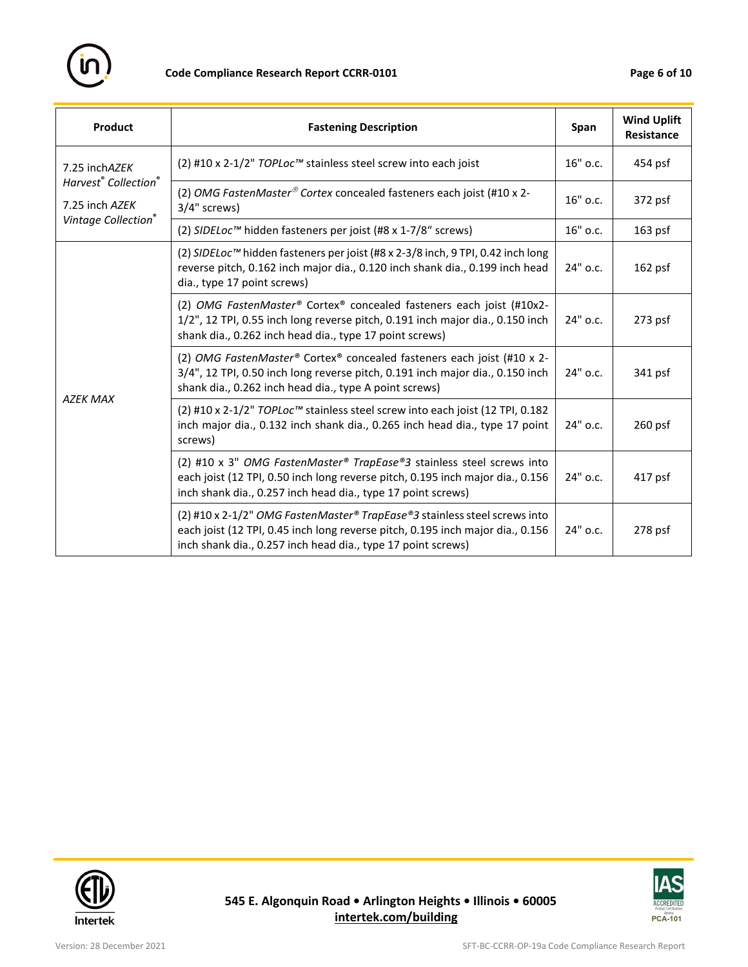

| Product                                                                                                | <b>Fastening Description</b>                                                                                                                                                                                                |          | <b>Wind Uplift</b><br><b>Resistance</b> |
|--------------------------------------------------------------------------------------------------------|-----------------------------------------------------------------------------------------------------------------------------------------------------------------------------------------------------------------------------|----------|-----------------------------------------|
| 7.25 inchAZEK<br>Harvest <sup>®</sup> Collection <sup>®</sup><br>7.25 inch AZEK<br>Vintage Collection® | (2) #10 x 2-1/2" TOPLoc™ stainless steel screw into each joist                                                                                                                                                              |          | $454$ psf                               |
|                                                                                                        | (2) OMG FastenMaster® Cortex concealed fasteners each joist (#10 x 2-<br>3/4" screws)                                                                                                                                       |          | 372 psf                                 |
|                                                                                                        | (2) SIDELoc™ hidden fasteners per joist (#8 x 1-7/8" screws)                                                                                                                                                                | 16" o.c. | $163$ psf                               |
| <b>AZEK MAX</b>                                                                                        | (2) SIDELoc™ hidden fasteners per joist (#8 x 2-3/8 inch, 9 TPI, 0.42 inch long<br>reverse pitch, 0.162 inch major dia., 0.120 inch shank dia., 0.199 inch head<br>dia., type 17 point screws)                              |          | 162 psf                                 |
|                                                                                                        | (2) OMG FastenMaster® Cortex® concealed fasteners each joist (#10x2-<br>1/2", 12 TPI, 0.55 inch long reverse pitch, 0.191 inch major dia., 0.150 inch<br>shank dia., 0.262 inch head dia., type 17 point screws)            |          | 273 psf                                 |
|                                                                                                        | (2) OMG FastenMaster® Cortex® concealed fasteners each joist (#10 x 2-<br>3/4", 12 TPI, 0.50 inch long reverse pitch, 0.191 inch major dia., 0.150 inch<br>shank dia., 0.262 inch head dia., type A point screws)           |          | 341 psf                                 |
|                                                                                                        | (2) #10 x 2-1/2" TOPLoc™ stainless steel screw into each joist (12 TPI, 0.182<br>inch major dia., 0.132 inch shank dia., 0.265 inch head dia., type 17 point<br>screws)                                                     |          | $260$ psf                               |
|                                                                                                        | (2) #10 x 3" OMG FastenMaster® TrapEase®3 stainless steel screws into<br>each joist (12 TPI, 0.50 inch long reverse pitch, 0.195 inch major dia., 0.156<br>inch shank dia., 0.257 inch head dia., type 17 point screws)     |          | 417 psf                                 |
|                                                                                                        | (2) #10 x 2-1/2" OMG FastenMaster® TrapEase®3 stainless steel screws into<br>each joist (12 TPI, 0.45 inch long reverse pitch, 0.195 inch major dia., 0.156<br>inch shank dia., 0.257 inch head dia., type 17 point screws) | 24" o.c. | 278 psf                                 |



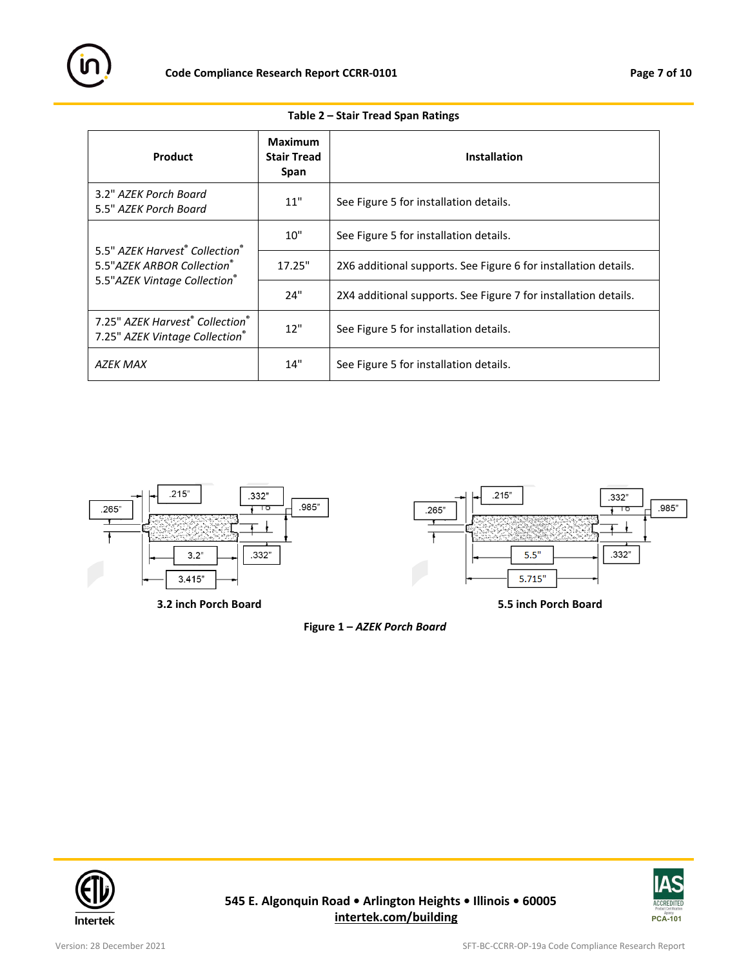

| Product                                                                                                                | Maximum<br><b>Stair Tread</b><br><b>Span</b>  | <b>Installation</b>                                             |
|------------------------------------------------------------------------------------------------------------------------|-----------------------------------------------|-----------------------------------------------------------------|
| 3.2" AZEK Porch Board<br>5.5" AZEK Porch Board                                                                         | 11"                                           | See Figure 5 for installation details.                          |
| 5.5" AZEK Harvest <sup>®</sup> Collection <sup>®</sup><br>5.5" AZEK ARBOR Collection®<br>5.5" AZEK Vintage Collection® | 10"                                           | See Figure 5 for installation details.                          |
|                                                                                                                        | 17.25"                                        | 2X6 additional supports. See Figure 6 for installation details. |
|                                                                                                                        | 24"                                           | 2X4 additional supports. See Figure 7 for installation details. |
| 7.25" AZFK Harvest <sup>®</sup> Collection <sup>®</sup><br>7.25" AZEK Vintage Collection®                              | 12"<br>See Figure 5 for installation details. |                                                                 |
| <b>AZEK MAX</b>                                                                                                        | 14"                                           | See Figure 5 for installation details.                          |

## **Table 2 – Stair Tread Span Ratings**





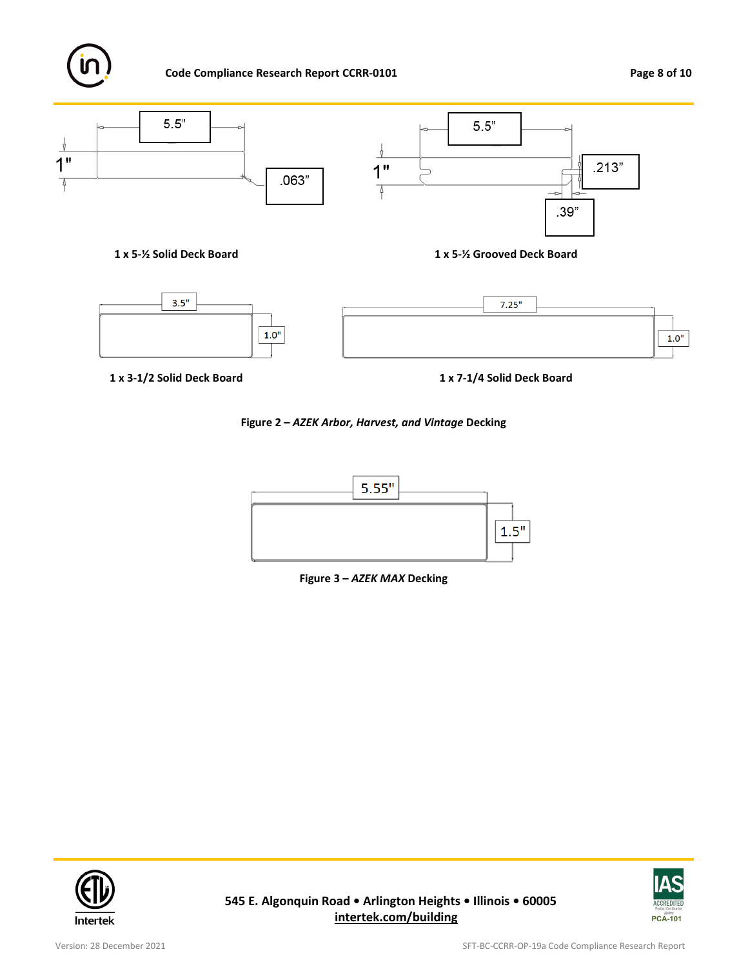

# **Code Compliance Research Report CCRR-0101 Page 8 of 10**



**1 x 5-½ Solid Deck Board 1 x 5-½ Grooved Deck Board**



**1 x 3-1/2 Solid Deck Board 1 x 7-1/4 Solid Deck Board**

# **Figure 2 –** *AZEK Arbor, Harvest, and Vintage* **Decking**







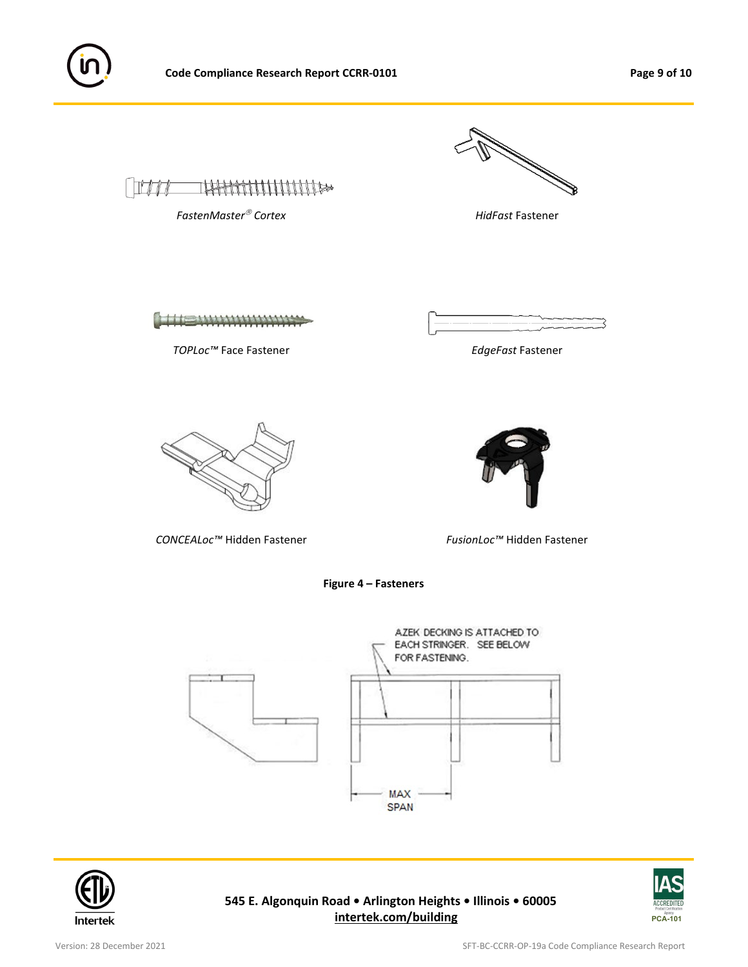



**Figure 4 – Fasteners**